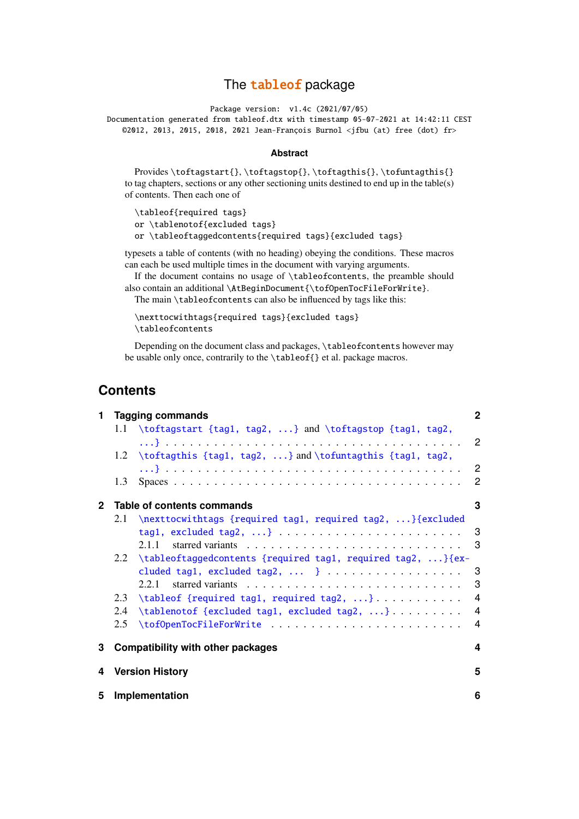# The tableof package

Package version: v1.4c (2021/07/05)

Documentation generated from tableof.dtx with timestamp 05-07-2021 at 14:42:11 CEST ©2012, 2013, 2015, 2018, 2021 Jean-François Burnol <jfbu (at) free (dot) fr>

#### **Abstract**

Provides \toftagstart{}, \toftagstop{}, \toftagthis{}, \tofuntagthis{} to tag chapters, sections or any other sectioning units destined to end up in the table(s) of contents. Then each one of

\tableof{required tags} or \tablenotof{excluded tags} or \tableoftaggedcontents{required tags}{excluded tags}

typesets a table of contents (with no heading) obeying the conditions. These macros can each be used multiple times in the document with varying arguments.

If the document contains no usage of \tableofcontents, the preamble should also contain an additional \AtBeginDocument{\tofOpenTocFileForWrite}.

The main \tableofcontents can also be influenced by tags like this:

```
\nexttocwithtags{required tags}{excluded tags}
\tableofcontents
```
Depending on the document class and packages, \tableofcontents however may be usable only once, contrarily to the \tableof{} et al. package macros.

# **Contents**

| 1.           |                            | <b>Tagging commands</b>                                          |                            |  |  |
|--------------|----------------------------|------------------------------------------------------------------|----------------------------|--|--|
|              |                            | 1.1 \toftagstart {tag1, tag2, } and \toftagstop {tag1, tag2,     |                            |  |  |
|              |                            | 1.2 \toftagthis {tag1, tag2, } and \tofuntagthis {tag1, tag2,    | $\overline{2}$             |  |  |
|              |                            |                                                                  |                            |  |  |
|              | 1.3                        |                                                                  | $\overline{\phantom{0}}^2$ |  |  |
| $\mathbf{2}$ | Table of contents commands |                                                                  |                            |  |  |
|              | 2.1                        | \nexttocwithtags {required tag1, required tag2, } {excluded      |                            |  |  |
|              |                            |                                                                  | 3                          |  |  |
|              |                            | 2.1.1                                                            | 3                          |  |  |
|              |                            | 2.2 \tableoftaggedcontents {required tag1, required tag2, } {ex- |                            |  |  |
|              |                            | cluded tag1, excluded tag2,  }                                   | - 3                        |  |  |
|              |                            |                                                                  | 3                          |  |  |
|              | 2.3                        |                                                                  | 4                          |  |  |
|              | 2.4                        | \tablenotof {excluded tag1, excluded tag2, }                     | $\overline{4}$             |  |  |
|              | 2.5                        |                                                                  |                            |  |  |
| 3            |                            | <b>Compatibility with other packages</b>                         | 4                          |  |  |
| 4            |                            | <b>Version History</b>                                           | 5                          |  |  |
| 5.           | Implementation             |                                                                  |                            |  |  |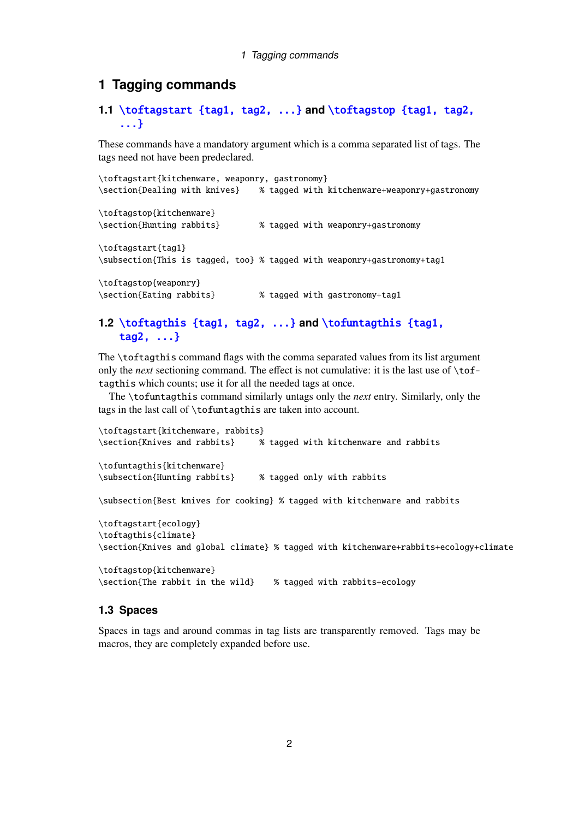## <span id="page-1-0"></span>**1 Tagging commands**

# <span id="page-1-1"></span>**1.1** \toftagstart {tag1, tag2, ...} **and** \toftagstop {tag1, tag2, ...}

These commands have a mandatory argument which is a comma separated list of tags. The tags need not have been predeclared.

```
\toftagstart{kitchenware, weaponry, gastronomy}
\section{Dealing with knives} % tagged with kitchenware+weaponry+gastronomy
\toftagstop{kitchenware}
\section{Hunting rabbits} % tagged with weaponry+gastronomy
\toftagstart{tag1}
\subsection{This is tagged, too} % tagged with weaponry+gastronomy+tag1
\toftagstop{weaponry}
\section{Eating rabbits} % tagged with gastronomy+tag1
```
# <span id="page-1-2"></span>**1.2** \toftagthis {tag1, tag2, ...} **and** \tofuntagthis {tag1, tag2, ...}

The \toftagthis command flags with the comma separated values from its list argument only the *next* sectioning command. The effect is not cumulative: it is the last use of \toftagthis which counts; use it for all the needed tags at once.

The \tofuntagthis command similarly untags only the *next* entry. Similarly, only the tags in the last call of \tofuntagthis are taken into account.

```
\toftagstart{kitchenware, rabbits}
\section{Knives and rabbits} % tagged with kitchenware and rabbits
\tofuntagthis{kitchenware}
\subsection{Hunting rabbits} % tagged only with rabbits
\subsection{Best knives for cooking} % tagged with kitchenware and rabbits
\toftagstart{ecology}
```

```
\toftagthis{climate}
\section{Knives and global climate} % tagged with kitchenware+rabbits+ecology+climate
```

```
\toftagstop{kitchenware}
\section{The rabbit in the wild} % tagged with rabbits+ecology
```
## <span id="page-1-3"></span>**1.3 Spaces**

Spaces in tags and around commas in tag lists are transparently removed. Tags may be macros, they are completely expanded before use.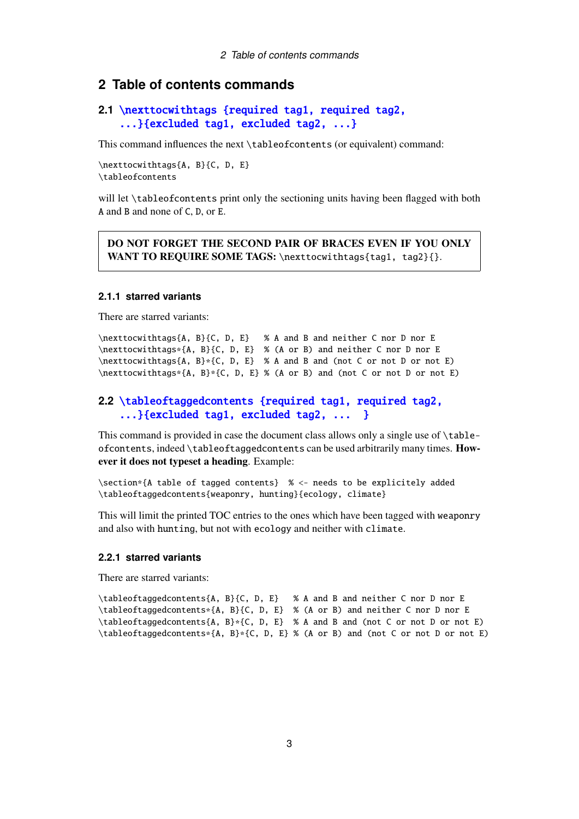## <span id="page-2-0"></span>**2 Table of contents commands**

## <span id="page-2-1"></span>**2.1** \nexttocwithtags {required tag1, required tag2, ...}{excluded tag1, excluded tag2, ...}

This command influences the next \tableofcontents (or equivalent) command:

\nexttocwithtags{A, B}{C, D, E} \tableofcontents

will let \tableofcontents print only the sectioning units having been flagged with both A and B and none of C, D, or E.

DO NOT FORGET THE SECOND PAIR OF BRACES EVEN IF YOU ONLY WANT TO REQUIRE SOME TAGS: \nexttocwithtags{tag1, tag2}{}.

## <span id="page-2-2"></span>**2.1.1 starred variants**

There are starred variants:

```
\nexttocwithtags{A, B}{C, D, E} % A and B and neither C nor D nor E
\nexttocwithtags*{A, B}{C, D, E} % (A or B) and neither C nor D nor E
\nexttocwithtags{A, B}*{C, D, E} % A and B and (not C or not D or not E)
\nexttocwithtags*{A, B}*{C, D, E} % (A or B) and (not C or not D or not E)
```
## <span id="page-2-3"></span>**2.2** \tableoftaggedcontents {required tag1, required tag2, ...}{excluded tag1, excluded tag2, ... }

This command is provided in case the document class allows only a single use of \tableofcontents, indeed \tableoftaggedcontents can be used arbitrarily many times. However it does not typeset a heading. Example:

```
\section*{A table of tagged contents} % <- needs to be explicitely added
\tableoftaggedcontents{weaponry, hunting}{ecology, climate}
```
This will limit the printed TOC entries to the ones which have been tagged with weaponry and also with hunting, but not with ecology and neither with climate.

### <span id="page-2-4"></span>**2.2.1 starred variants**

There are starred variants:

```
\tableoftaggedcontents{A, B}{C, D, E} % A and B and neither C nor D nor E
\tableoftaggedcontents*{A, B}{C, D, E} % (A or B) and neither C nor D nor E
\tableoftaggedcontents{A, B}*{C, D, E} % A and B and (not C or not D or not E)
\tableoftaggedcontents*{A, B}*{C, D, E} % (A or B) and (not C or not D or not E)
```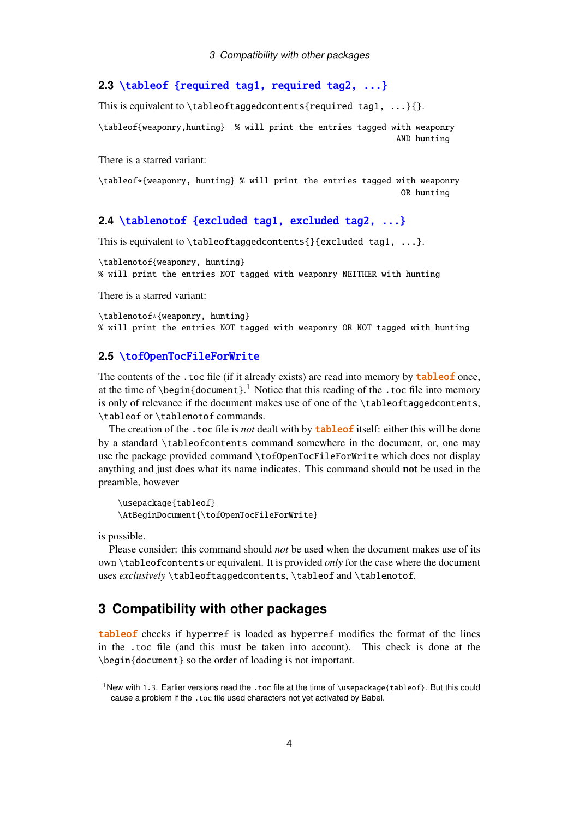## **2.3** \tableof {required tag1, required tag2, ...}

This is equivalent to \tableoftaggedcontents{required tag1, ...}{}.

<span id="page-3-0"></span>\tableof{weaponry,hunting} % will print the entries tagged with weaponry AND hunting

There is a starred variant:

\tableof\*{weaponry, hunting} % will print the entries tagged with weaponry OR hunting

## **2.4** \tablenotof {excluded tag1, excluded tag2, ...}

This is equivalent to \tableoftaggedcontents{}{excluded tag1, ...}.

\tablenotof{weaponry, hunting} % will print the entries NOT tagged with weaponry NEITHER with hunting

There is a starred variant:

\tablenotof\*{weaponry, hunting} % will print the entries NOT tagged with weaponry OR NOT tagged with hunting

#### **2.5** \tofOpenTocFileForWrite

<span id="page-3-1"></span>The contents of the .toc file (if it already exists) are read into memory by **tableof** once, at the time of  $\begin{cases}$  begin{document}.<sup>1</sup> Notice that this reading of the .toc file into memory is only of relevance if the document makes use of one of the \tableoftaggedcontents, \tableof or \tablenotof commands.

The creation of the .toc file is *[no](#page-3-3)t* dealt with by **tableof** itself: either this will be done by a standard \tableofcontents command somewhere in the document, or, one may use the package provided command \tofOpenTocFileForWrite which does not display anything and just does what its name indicates. This command should not be used in the preamble, however

\usepackage{tableof} \AtBeginDocument{\tofOpenTocFileForWrite}

is possible.

Please consider: this command should *not* be used when the document makes use of its own \tableofcontents or equivalent. It is provided *only* for the case where the document uses *exclusively* \tableoftaggedcontents, \tableof and \tablenotof.

## **3 Compatibility with other packages**

<span id="page-3-2"></span>tableof checks if hyperref is loaded as hyperref modifies the format of the lines in the .toc file (and this must be taken into account). This check is done at the \begin{document} so the order of loading is not important.

<span id="page-3-3"></span><sup>1</sup>New with 1.3. Earlier versions read the .toc file at the time of \usepackage{tableof}. But this could cause a problem if the .toc file used characters not yet activated by Babel.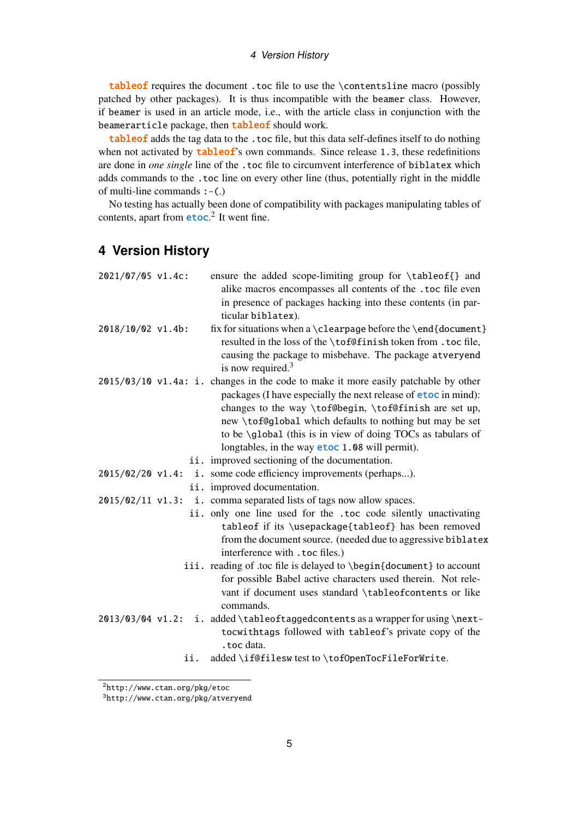#### 4 Version History

tableof requires the document .toc file to use the \contentsline macro (possibly patched by other packages). It is thus incompatible with the beamer class. However, if beamer is used in an article mode, i.e., with the article class in conjunction with the beamerarticle package, then **tableof** should work.

tableof adds the tag data to the .toc file, but this data self-defines itself to do nothing when not activated by  **own commands. Since release 1.3, these redefinitions** are done in *one single* line of the .toc file to circumvent interference of biblatex which adds commands to the .toc line on every other line (thus, potentially right in the middle of multi-line commands  $:-(.)$ 

No testing has actually been done of compatibility with packages manipulating tables of contents, apart from **etoc**.<sup>2</sup> It went fine.

# **4 Version History**

| 2021/07/05 v1.4c:  | ensure the added scope-limiting group for \tableof{} and<br>alike macros encompasses all contents of the .toc file even<br>in presence of packages hacking into these contents (in par-<br>ticular biblatex).                                                                                                                                                                                             |
|--------------------|-----------------------------------------------------------------------------------------------------------------------------------------------------------------------------------------------------------------------------------------------------------------------------------------------------------------------------------------------------------------------------------------------------------|
| 2018/10/02 v1.4b:  | fix for situations when a $\clap{\text{element}}$<br>resulted in the loss of the \tof@finish token from . toc file,<br>causing the package to misbehave. The package atveryend<br>is now required. $3$                                                                                                                                                                                                    |
|                    | 2015/03/10 v1.4a: i. changes in the code to make it more easily patchable by other<br>packages (I have especially the next release of <b>etoc</b> in mind):<br>changes to the way \tof@begin, \tof@finish are set up,<br>new \tof@global which defaults to nothing but may be set<br>to be \global (this is in view of doing TOCs as tabulars of<br>longtables, in the way <b>etoc</b> 1.08 will permit). |
|                    | ii. improved sectioning of the documentation.                                                                                                                                                                                                                                                                                                                                                             |
| 2015/02/20 v1.4:   | i. some code efficiency improvements (perhaps).                                                                                                                                                                                                                                                                                                                                                           |
|                    | ii. improved documentation.                                                                                                                                                                                                                                                                                                                                                                               |
| $2015/02/11$ v1.3: | i. comma separated lists of tags now allow spaces.                                                                                                                                                                                                                                                                                                                                                        |
|                    | ii. only one line used for the .toc code silently unactivating                                                                                                                                                                                                                                                                                                                                            |
|                    | tableof if its \usepackage{tableof} has been removed<br>from the document source. (needed due to aggressive biblatex<br>interference with . toc files.)                                                                                                                                                                                                                                                   |
|                    | iii. reading of .toc file is delayed to \begin{document} to account<br>for possible Babel active characters used therein. Not rele-<br>vant if document uses standard \tableofcontents or like<br>commands.                                                                                                                                                                                               |
| 2013/03/04 v1.2:   | i. added \tableoftaggedcontents as a wrapper for using \next-<br>tocwithtags followed with tableof's private copy of the<br>.toc data.                                                                                                                                                                                                                                                                    |

ii. added \if@filesw test to \tofOpenTocFileForWrite.

<sup>2</sup>http://www.ctan.org/pkg/etoc

<span id="page-4-0"></span><sup>3</sup>http://www.ctan.org/pkg/atveryend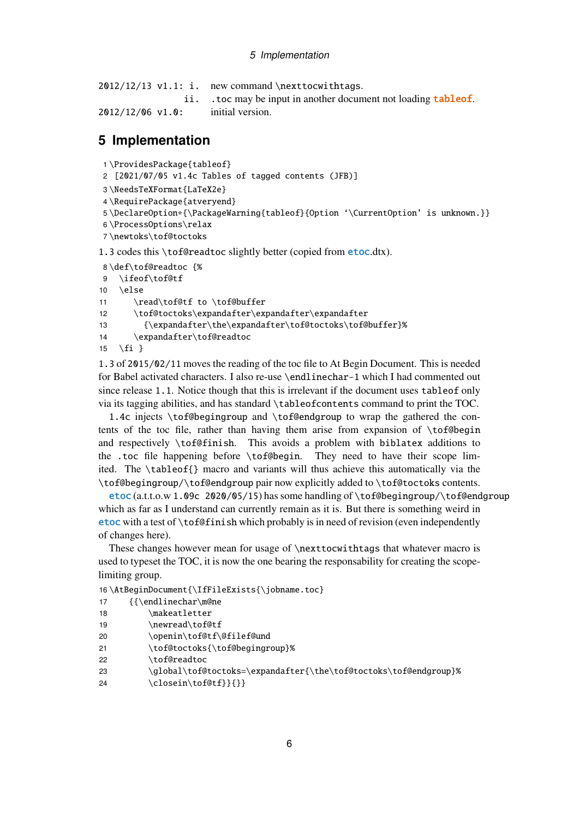```
2012/12/13 v1.1: i. new command \nexttocwithtags.
                 ii. . to c may be input in another document not loading tableof.
2012/12/06 v1.0: initial version.
```
# **5 Implementation**

1 \ProvidesPackage{tableof}

2 [2021/07/05 v1.4c Tables of tagged contents (JFB)]

```
3 \NeedsTeXFormat{LaTeX2e}
```
4 \RequirePackage{atveryend}

```
5 \DeclareOption*{\PackageWarning{tableof}{Option '\CurrentOption' is unknown.}}
```

```
6 \ProcessOptions\relax
```
7 \newtoks\tof@toctoks

1.3 codes this \tof@readtoc slightly better (copied from etoc.dtx).

```
8 \def\tof@readtoc {%
```

```
9 \ifeof\tof@tf
```
10 \else

```
11 \read\tof@tf to \tof@buffer
```

```
12 \tof@toctoks\expandafter\expandafter\expandafter
```

```
13 {\expandafter\the\expandafter\tof@toctoks\tof@buffer}%
```

```
14 \expandafter\tof@readtoc
```

```
15 \{fi\}
```
1.3 of 2015/02/11 moves the reading of the toc file to At Begin Document. This is needed for Babel activated characters. I also re-use \endlinechar-1 which I had commented out since release 1.1. Notice though that this is irrelevant if the document uses tableof only via its tagging abilities, and has standard \tableofcontents command to print the TOC.

1.4c injects \tof@begingroup and \tof@endgroup to wrap the gathered the contents of the toc file, rather than having them arise from expansion of \tof@begin and respectively \tof@finish. This avoids a problem with biblatex additions to the .toc file happening before \tof@begin. They need to have their scope limited. The \tableof{} macro and variants will thus achieve this automatically via the \tof@begingroup/\tof@endgroup pair now explicitly added to \tof@toctoks contents.

etoc (a.t.t.o.w 1.09c 2020/05/15) has some handling of \tof@begingroup/\tof@endgroup which as far as I understand can currently remain as it is. But there is something weird in etoc with a test of \tof@finish which probably is in need of revision (even independently of changes here).

These changes however mean for usage of \nexttocwithtags that whatever macro is used to typeset the TOC, it is now the one bearing the responsability for creating the scopelimiting group.

```
16 \AtBeginDocument{\IfFileExists{\jobname.toc}
```

```
17 {{\endlinechar\m@ne
```

```
18 \makeatletter
```

```
19 \newread\tof@tf
```

```
20 \openin\tof@tf\@filef@und
```

```
21 \tof@toctoks{\tof@begingroup}%
```

```
22 \tof@readtoc
```

```
23 \global\tof@toctoks=\expandafter{\the\tof@toctoks\tof@endgroup}%
```
24 \closein\tof@tf}}{}}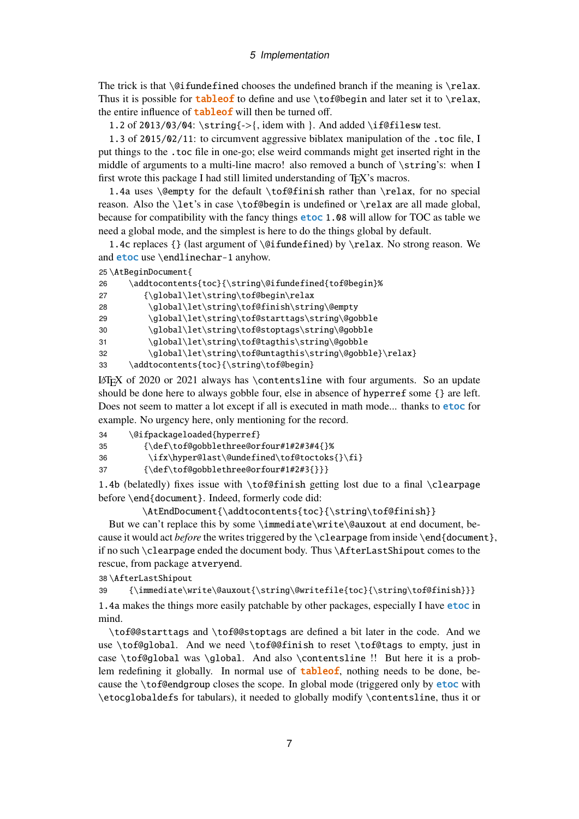The trick is that  $\Diamond$  fundefined chooses the undefined branch if the meaning is  $\lbrace$  relax. Thus it is possible for **tableof** to define and use  $\to$  considers and later set it to  $\text{relax}$ , the entire influence of **tableof** will then be turned off.

1.2 of 2013/03/04: \string{->{, idem with }. And added \if@filesw test.

1.3 of 2015/02/11: to circumvent aggressive biblatex manipulation of the .toc file, I put things to the .toc file in one-go; else weird commands might get inserted right in the middle of arguments to a multi-line macro! also removed a bunch of \string's: when I first wrote this package I had still limited understanding of T<sub>E</sub>X's macros.

1.4a uses \@empty for the default \tof@finish rather than \relax, for no special reason. Also the \let's in case \tof@begin is undefined or \relax are all made global, because for compatibility with the fancy things etoc 1.08 will allow for TOC as table we need a global mode, and the simplest is here to do the things global by default.

1.4c replaces {} (last argument of \@ifundefined) by \relax. No strong reason. We and etoc use \endlinechar-1 anyhow.

25 \AtBeginDocument{

| 26 | \addtocontents{toc}{\string\@ifundefined{tof@begin}%    |
|----|---------------------------------------------------------|
| 27 | {\qlobal\let\string\tof@begin\relax                     |
| 28 | \global\let\string\tof@finish\string\@empty             |
| 29 | \global\let\string\tof@starttags\string\@gobble         |
| 30 | \global\let\string\tof@stoptags\string\@gobble          |
| 31 | \global\let\string\tof@tagthis\string\@gobble           |
| 32 | \global\let\string\tof@untagthis\string\@gobble}\relax} |
| 33 | \addtocontents{toc}{\string\tof@begin}                  |

LATEX of 2020 or 2021 always has \contentsline with four arguments. So an update should be done here to always gobble four, else in absence of hyperref some {} are left. Does not seem to matter a lot except if all is executed in math mode... thanks to **etoc** for example. No urgency here, only mentioning for the record.

- 34 \@ifpackageloaded{hyperref}
- 35 {\def\tof@gobblethree@orfour#1#2#3#4{}%
- 36 \ifx\hyper@last\@undefined\tof@toctoks{}\fi}
- 37 {\def\tof@gobblethree@orfour#1#2#3{}}}

1.4b (belatedly) fixes issue with \tof@finish getting lost due to a final \clearpage before \end{document}. Indeed, formerly code did:

\AtEndDocument{\addtocontents{toc}{\string\tof@finish}}

But we can't replace this by some \immediate\write\@auxout at end document, because it would act *before* the writes triggered by the \clearpage from inside \end{document}, if no such \clearpage ended the document body. Thus \AfterLastShipout comes to the rescue, from package atveryend.

38 \AfterLastShipout

39 {\immediate\write\@auxout{\string\@writefile{toc}{\string\tof@finish}}}

1.4a makes the things more easily patchable by other packages, especially I have **etoc** in mind.

\tof@@starttags and \tof@@stoptags are defined a bit later in the code. And we use \tof@global. And we need \tof@@finish to reset \tof@tags to empty, just in case \tof@global was \global. And also \contentsline !! But here it is a problem redefining it globally. In normal use of  $tableof$ , nothing needs to be done, because the \tof@endgroup closes the scope. In global mode (triggered only by etoc with \etocglobaldefs for tabulars), it needed to globally modify \contentsline, thus it or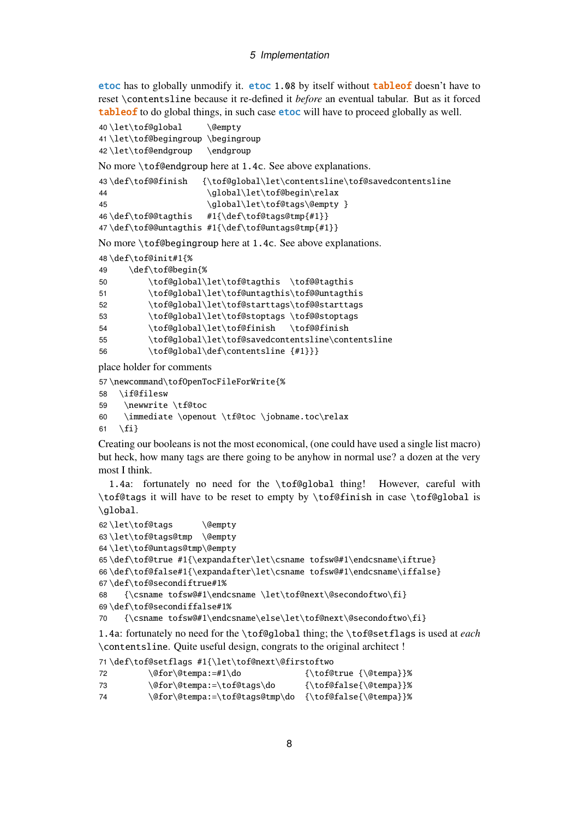etoc has to globally unmodify it. etoc 1.08 by itself without tableof doesn't have to reset \contentsline because it re-defined it *before* an eventual tabular. But as it forced tableof to do global things, in such case etoc will have to proceed globally as well.

```
40 \let\tof@global \@empty
41 \let\tof@begingroup \begingroup
42\let\tof@endgroup \endgroup
```
No more \tof@endgroup here at 1.4c. See above explanations.

```
43 \def\tof@@finish {\tof@global\let\contentsline\tof@savedcontentsline
44 \global\let\tof@begin\relax
45 \global\let\tof@tags\@empty }
46 \def\tof@@tagthis #1{\def\tof@tags@tmp{#1}}
47 \def\tof@@untagthis #1{\def\tof@untags@tmp{#1}}
```
No more \tof@begingroup here at 1.4c. See above explanations.

```
48 \def\tof@init#1{%
```

```
49 \def\tof@begin{%
```

| 50 | \tof@global\let\tof@tagthis \tof@@tagthis          |
|----|----------------------------------------------------|
| 51 | \tof@global\let\tof@untagthis\tof@@untagthis       |
| 52 | \tof@global\let\tof@starttags\tof@@starttags       |
| 53 | \tof@qlobal\let\tof@stoptags \tof@@stoptags        |
| 54 | \tof@qlobal\let\tof@finish \tof@@finish            |
| 55 | \tof@qlobal\let\tof@savedcontentsline\contentsline |
| 56 | \tof@qlobal\def\contentsline {#1}}}                |
|    |                                                    |

place holder for comments

```
57 \newcommand\tofOpenTocFileForWrite{%
```

```
58 \if@filesw
```

```
59 \newwrite \tf@toc
```
\immediate \openout \tf@toc \jobname.toc\relax

```
61 \fi}
```
Creating our booleans is not the most economical, (one could have used a single list macro) but heck, how many tags are there going to be anyhow in normal use? a dozen at the very most I think.

1.4a: fortunately no need for the \tof@global thing! However, careful with \tof@tags it will have to be reset to empty by \tof@finish in case \tof@global is \global.

```
62 \let\tof@tags \@empty
63 \let\tof@tags@tmp \@empty
64 \let\tof@untags@tmp\@empty
65 \def\tof@true #1{\expandafter\let\csname tofsw@#1\endcsname\iftrue}
66 \def\tof@false#1{\expandafter\let\csname tofsw@#1\endcsname\iffalse}
67 \def\tof@secondiftrue#1%
68 {\csname tofsw@#1\endcsname \let\tof@next\@secondoftwo\fi}
69 \def\tof@secondiffalse#1%
70 {\csname tofsw@#1\endcsname\else\let\tof@next\@secondoftwo\fi}
```
1.4a: fortunately no need for the \tof@global thing; the \tof@setflags is used at *each* \contentsline. Quite useful design, congrats to the original architect !

```
71 \def\tof@setflags #1{\let\tof@next\@firstoftwo
72 \@for\@tempa:=#1\do {\tof@true {\@tempa}}%
73 \@for\@tempa:=\tof@tags\do {\tof@false{\@tempa}}%
74 \@for\@tempa:=\tof@tags@tmp\do {\tof@false{\@tempa}}%
```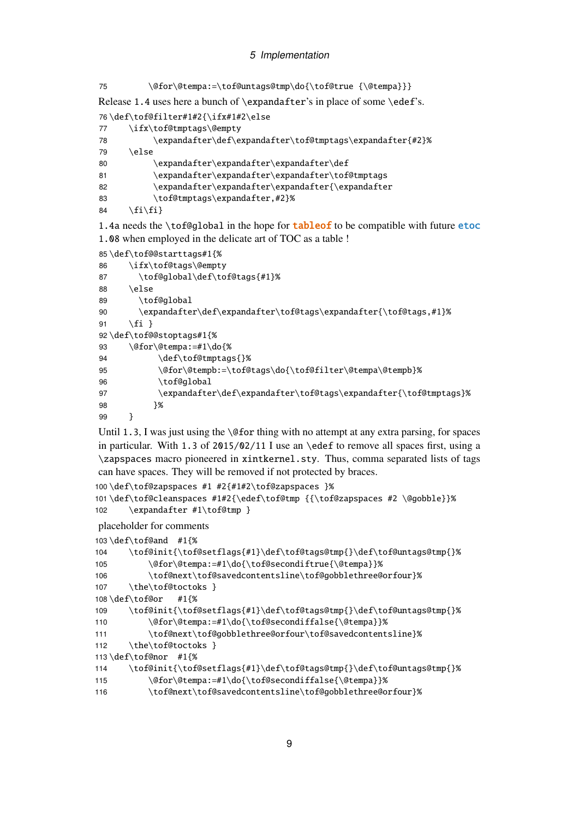```
75 \@for\@tempa:=\tof@untags@tmp\do{\tof@true {\@tempa}}}
```
Release 1.4 uses here a bunch of \expandafter's in place of some \edef's.

```
76 \def\tof@filter#1#2{\ifx#1#2\else
77 \ifx\tof@tmptags\@empty
78 \expandafter\def\expandafter\tof@tmptags\expandafter{#2}%
79 \angleelse
80 \expandafter\expandafter\expandafter\def
81 \expandafter\expandafter\expandafter\tof@tmptags
82 \expandafter\expandafter\expandafter\expandafter{\expandafter
83 \tof@tmptags\expandafter,#2}%
84 \{fi\}
```
1.4a needs the \tof@global in the hope for **tableof** to be compatible with future etoc 1.08 when employed in the delicate art of TOC as a table !

```
85 \def\tof@@starttags#1{%
86 \ifx\tof@tags\@empty
87 \tof@global\def\tof@tags{#1}%
88 \else
89 \tof@global
90 \expandafter\def\expandafter\tof@tags\expandafter{\tof@tags,#1}%
91 \fi }
92 \def\tof@@stoptags#1{%
93 \@for\@tempa:=#1\do{%
94 \def\tof@tmptags{}%
95 \@for\@tempb:=\tof@tags\do{\tof@filter\@tempa\@tempb}%
96 \tof@global
97 \expandafter\def\expandafter\tof@tags\expandafter{\tof@tmptags}%
98 }%
99 }
```
Until 1.3, I was just using the  $\qquad$  Ce for thing with no attempt at any extra parsing, for spaces in particular. With 1.3 of  $2015/02/11$  I use an \edef to remove all spaces first, using a \zapspaces macro pioneered in xintkernel.sty. Thus, comma separated lists of tags can have spaces. They will be removed if not protected by braces.

```
100 \def\tof@zapspaces #1 #2{#1#2\tof@zapspaces }%
101 \def\tof@cleanspaces #1#2{\edef\tof@tmp {{\tof@zapspaces #2 \@gobble}}%
102 \expandafter #1\tof@tmp }
```
placeholder for comments

```
103 \def\tof@and #1{%
104 \tof@init{\tof@setflags{#1}\def\tof@tags@tmp{}\def\tof@untags@tmp{}%
105 \@for\@tempa:=#1\do{\tof@secondiftrue{\@tempa}}%
106 \tof@next\tof@savedcontentsline\tof@gobblethree@orfour}%
107 \the\tof@toctoks }
108 \def\tof@or #1{%
109 \tof@init{\tof@setflags{#1}\def\tof@tags@tmp{}\def\tof@untags@tmp{}%
110 \@for\@tempa:=#1\do{\tof@secondiffalse{\@tempa}}%
111 \tof@next\tof@gobblethree@orfour\tof@savedcontentsline}%
112 \the\tof@toctoks }
113 \def\tof@nor #1{%
114 \tof@init{\tof@setflags{#1}\def\tof@tags@tmp{}\def\tof@untags@tmp{}%
115 \@for\@tempa:=#1\do{\tof@secondiffalse{\@tempa}}%
116 \tof@next\tof@savedcontentsline\tof@gobblethree@orfour}%
```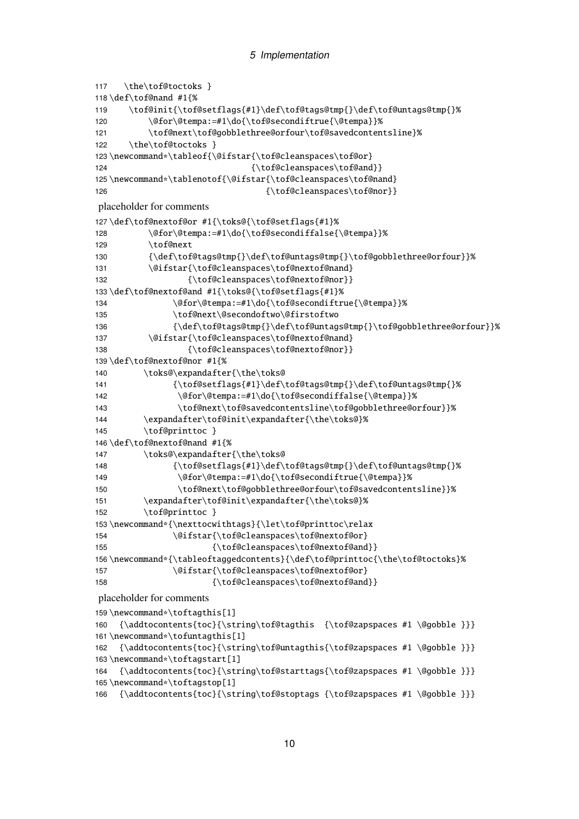```
117 \the\tof@toctoks }
118 \def\tof@nand #1{%
119 \tof@init{\tof@setflags{#1}\def\tof@tags@tmp{}\def\tof@untags@tmp{}%
120 \@for\@tempa:=#1\do{\tof@secondiftrue{\@tempa}}%
121 \tof@next\tof@gobblethree@orfour\tof@savedcontentsline}%
122 \the\tof@toctoks }
123 \newcommand*\tableof{\@ifstar{\tof@cleanspaces\tof@or}
124 {\tof@cleanspaces\tof@and}}
125 \newcommand*\tablenotof{\@ifstar{\tof@cleanspaces\tof@nand}
126 {\to f@cleanspaces\to f@non}placeholder for comments
127 \def\tof@nextof@or #1{\toks@{\tof@setflags{#1}%
128 \@for\@tempa:=#1\do{\tof@secondiffalse{\@tempa}}%
129 \tof@next
130 {\def\tof@tags@tmp{}\def\tof@untags@tmp{}\tof@gobblethree@orfour}}%
131 \@ifstar{\tof@cleanspaces\tof@nextof@nand}
132 {\tof@cleanspaces\tof@nearbot@nor}133 \def\tof@nextof@and #1{\toks@{\tof@setflags{#1}%
134 \@for\@tempa:=#1\do{\tof@secondiftrue{\@tempa}}%
135 \tof@next\@secondoftwo\@firstoftwo
136 {\def\tof@tags@tmp{}\def\tof@untags@tmp{}\tof@gobblethree@orfour}}%
137 \@ifstar{\tof@cleanspaces\tof@nextof@nand}
138 {\tof@cleanspaces\tof@nextof@nor}}
139 \def\tof@nextof@nor #1{%
140 \toks@\expandafter{\the\toks@
141 {\tof@setflags{#1}\def\tof@tags@tmp{}\def\tof@untags@tmp{}%
142 \@for\@tempa:=#1\do{\tof@secondiffalse{\@tempa}}%
143 \tof@next\tof@savedcontentsline\tof@gobblethree@orfour}}%
144 \expandafter\tof@init\expandafter{\the\toks@}%
145 \tof@printtoc }
146 \def\tof@nextof@nand #1{%
147 \toks@\expandafter{\the\toks@
148 {\tof@setflags{#1}\def\tof@tags@tmp{}\def\tof@untags@tmp{}%
149 \@for\@tempa:=#1\do{\tof@secondiftrue{\@tempa}}%
150 \tof@next\tof@gobblethree@orfour\tof@savedcontentsline}}%
151 \expandafter\tof@init\expandafter{\the\toks@}%
152 \tof@printtoc }
153 \newcommand*{\nexttocwithtags}{\let\tof@printtoc\relax
154 \@ifstar{\tof@cleanspaces\tof@nextof@or}
155 {\tof@cleanspaces\tof@nearot@and}156 \newcommand*{\tableoftaggedcontents}{\def\tof@printtoc{\the\tof@toctoks}%
157 \@ifstar{\tof@cleanspaces\tof@nextof@or}
158 {\tof@cleanspaces\tof@nearbot@and}placeholder for comments
159 \newcommand*\toftagthis[1]
160 {\addtocontents{toc}{\string\tof@tagthis {\tof@zapspaces #1 \@gobble }}}
161 \newcommand*\tofuntagthis[1]
162 {\addtocontents{toc}{\string\tof@untagthis{\tof@zapspaces #1 \@gobble }}}
163 \newcommand*\toftagstart[1]
164 {\addtocontents{toc}{\string\tof@starttags{\tof@zapspaces #1 \@gobble }}}
165 \newcommand*\toftagstop[1]
166 {\addtocontents{toc}{\string\tof@stoptags {\tof@zapspaces #1 \@gobble }}}
```